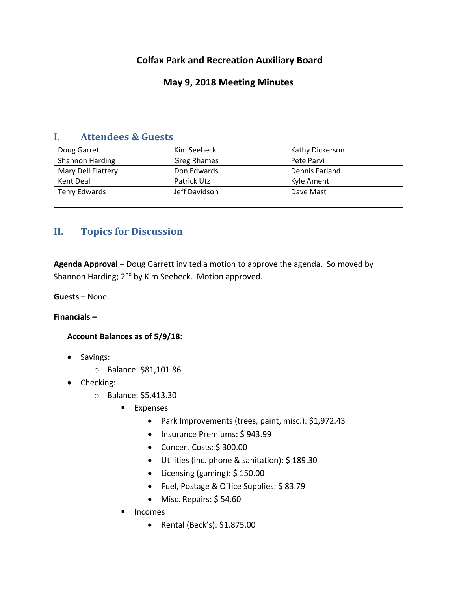# **Colfax Park and Recreation Auxiliary Board**

## **May 9, 2018 Meeting Minutes**

### **I. Attendees & Guests**

| Doug Garrett         | Kim Seebeck        | Kathy Dickerson |
|----------------------|--------------------|-----------------|
| Shannon Harding      | <b>Greg Rhames</b> | Pete Parvi      |
| Mary Dell Flattery   | Don Edwards        | Dennis Farland  |
| Kent Deal            | Patrick Utz        | Kyle Ament      |
| <b>Terry Edwards</b> | Jeff Davidson      | Dave Mast       |
|                      |                    |                 |

## **II. Topics for Discussion**

**Agenda Approval –** Doug Garrett invited a motion to approve the agenda. So moved by Shannon Harding; 2<sup>nd</sup> by Kim Seebeck. Motion approved.

**Guests –** None.

**Financials –**

**Account Balances as of 5/9/18:**

- Savings:
	- o Balance: \$81,101.86
- Checking:
	- o Balance: \$5,413.30
		- **Expenses** 
			- Park Improvements (trees, paint, misc.): \$1,972.43
			- Insurance Premiums: \$943.99
			- Concert Costs: \$ 300.00
			- Utilities (inc. phone & sanitation): \$ 189.30
			- Licensing (gaming): \$ 150.00
			- Fuel, Postage & Office Supplies: \$ 83.79
			- Misc. Repairs: \$54.60
		- **Incomes** 
			- Rental (Beck's): \$1,875.00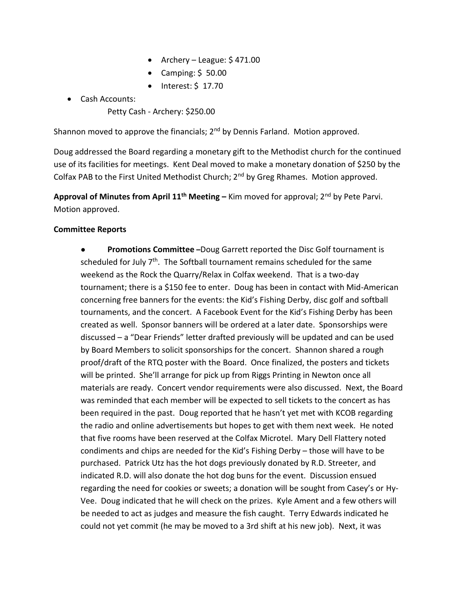- Archery League:  $$471.00$
- Camping:  $$50.00$
- $\bullet$  Interest: \$ 17.70
- Cash Accounts:
	- Petty Cash Archery: \$250.00

Shannon moved to approve the financials; 2<sup>nd</sup> by Dennis Farland. Motion approved.

Doug addressed the Board regarding a monetary gift to the Methodist church for the continued use of its facilities for meetings. Kent Deal moved to make a monetary donation of \$250 by the Colfax PAB to the First United Methodist Church; 2<sup>nd</sup> by Greg Rhames. Motion approved.

**Approval of Minutes from April 11th Meeting –** Kim moved for approval; 2nd by Pete Parvi. Motion approved.

#### **Committee Reports**

**Promotions Committee** -Doug Garrett reported the Disc Golf tournament is scheduled for July  $7<sup>th</sup>$ . The Softball tournament remains scheduled for the same weekend as the Rock the Quarry/Relax in Colfax weekend. That is a two-day tournament; there is a \$150 fee to enter. Doug has been in contact with Mid-American concerning free banners for the events: the Kid's Fishing Derby, disc golf and softball tournaments, and the concert. A Facebook Event for the Kid's Fishing Derby has been created as well. Sponsor banners will be ordered at a later date. Sponsorships were discussed – a "Dear Friends" letter drafted previously will be updated and can be used by Board Members to solicit sponsorships for the concert. Shannon shared a rough proof/draft of the RTQ poster with the Board. Once finalized, the posters and tickets will be printed. She'll arrange for pick up from Riggs Printing in Newton once all materials are ready. Concert vendor requirements were also discussed. Next, the Board was reminded that each member will be expected to sell tickets to the concert as has been required in the past. Doug reported that he hasn't yet met with KCOB regarding the radio and online advertisements but hopes to get with them next week. He noted that five rooms have been reserved at the Colfax Microtel. Mary Dell Flattery noted condiments and chips are needed for the Kid's Fishing Derby – those will have to be purchased. Patrick Utz has the hot dogs previously donated by R.D. Streeter, and indicated R.D. will also donate the hot dog buns for the event. Discussion ensued regarding the need for cookies or sweets; a donation will be sought from Casey's or Hy-Vee. Doug indicated that he will check on the prizes. Kyle Ament and a few others will be needed to act as judges and measure the fish caught. Terry Edwards indicated he could not yet commit (he may be moved to a 3rd shift at his new job). Next, it was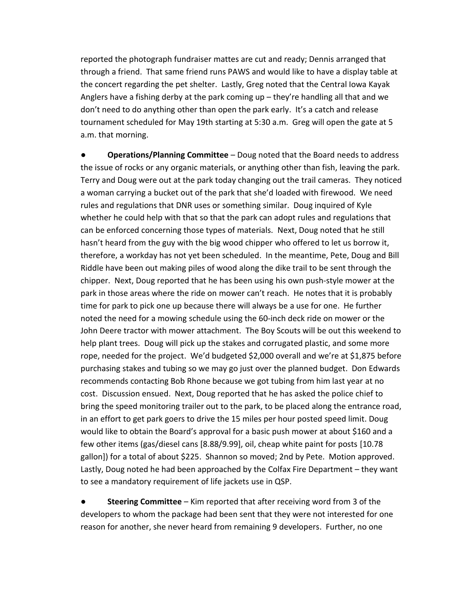reported the photograph fundraiser mattes are cut and ready; Dennis arranged that through a friend. That same friend runs PAWS and would like to have a display table at the concert regarding the pet shelter. Lastly, Greg noted that the Central Iowa Kayak Anglers have a fishing derby at the park coming up – they're handling all that and we don't need to do anything other than open the park early. It's a catch and release tournament scheduled for May 19th starting at 5:30 a.m. Greg will open the gate at 5 a.m. that morning.

**Operations/Planning Committee** – Doug noted that the Board needs to address the issue of rocks or any organic materials, or anything other than fish, leaving the park. Terry and Doug were out at the park today changing out the trail cameras. They noticed a woman carrying a bucket out of the park that she'd loaded with firewood. We need rules and regulations that DNR uses or something similar. Doug inquired of Kyle whether he could help with that so that the park can adopt rules and regulations that can be enforced concerning those types of materials. Next, Doug noted that he still hasn't heard from the guy with the big wood chipper who offered to let us borrow it, therefore, a workday has not yet been scheduled. In the meantime, Pete, Doug and Bill Riddle have been out making piles of wood along the dike trail to be sent through the chipper. Next, Doug reported that he has been using his own push-style mower at the park in those areas where the ride on mower can't reach. He notes that it is probably time for park to pick one up because there will always be a use for one. He further noted the need for a mowing schedule using the 60-inch deck ride on mower or the John Deere tractor with mower attachment. The Boy Scouts will be out this weekend to help plant trees. Doug will pick up the stakes and corrugated plastic, and some more rope, needed for the project. We'd budgeted \$2,000 overall and we're at \$1,875 before purchasing stakes and tubing so we may go just over the planned budget. Don Edwards recommends contacting Bob Rhone because we got tubing from him last year at no cost. Discussion ensued. Next, Doug reported that he has asked the police chief to bring the speed monitoring trailer out to the park, to be placed along the entrance road, in an effort to get park goers to drive the 15 miles per hour posted speed limit. Doug would like to obtain the Board's approval for a basic push mower at about \$160 and a few other items (gas/diesel cans [8.88/9.99], oil, cheap white paint for posts [10.78 gallon]) for a total of about \$225. Shannon so moved; 2nd by Pete. Motion approved. Lastly, Doug noted he had been approached by the Colfax Fire Department – they want to see a mandatory requirement of life jackets use in QSP.

**Steering Committee** – Kim reported that after receiving word from 3 of the developers to whom the package had been sent that they were not interested for one reason for another, she never heard from remaining 9 developers. Further, no one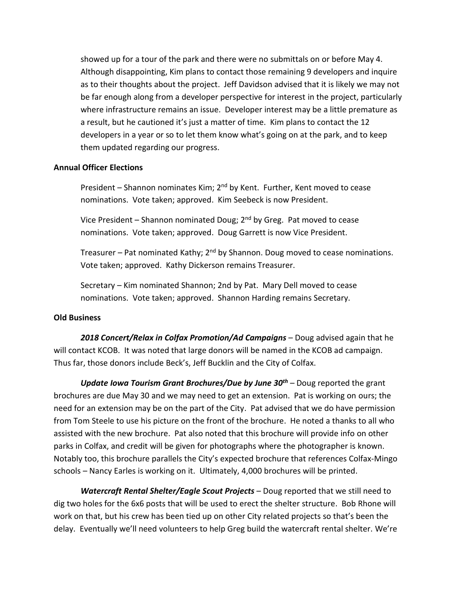showed up for a tour of the park and there were no submittals on or before May 4. Although disappointing, Kim plans to contact those remaining 9 developers and inquire as to their thoughts about the project. Jeff Davidson advised that it is likely we may not be far enough along from a developer perspective for interest in the project, particularly where infrastructure remains an issue. Developer interest may be a little premature as a result, but he cautioned it's just a matter of time. Kim plans to contact the 12 developers in a year or so to let them know what's going on at the park, and to keep them updated regarding our progress.

#### **Annual Officer Elections**

President – Shannon nominates Kim; 2<sup>nd</sup> by Kent. Further, Kent moved to cease nominations. Vote taken; approved. Kim Seebeck is now President.

Vice President – Shannon nominated Doug; 2<sup>nd</sup> by Greg. Pat moved to cease nominations. Vote taken; approved. Doug Garrett is now Vice President.

Treasurer – Pat nominated Kathy; 2<sup>nd</sup> by Shannon. Doug moved to cease nominations. Vote taken; approved. Kathy Dickerson remains Treasurer.

Secretary – Kim nominated Shannon; 2nd by Pat. Mary Dell moved to cease nominations. Vote taken; approved. Shannon Harding remains Secretary.

#### **Old Business**

*2018 Concert/Relax in Colfax Promotion/Ad Campaigns* – Doug advised again that he will contact KCOB. It was noted that large donors will be named in the KCOB ad campaign. Thus far, those donors include Beck's, Jeff Bucklin and the City of Colfax.

*Update Iowa Tourism Grant Brochures/Due by June 30th* – Doug reported the grant brochures are due May 30 and we may need to get an extension. Pat is working on ours; the need for an extension may be on the part of the City. Pat advised that we do have permission from Tom Steele to use his picture on the front of the brochure. He noted a thanks to all who assisted with the new brochure. Pat also noted that this brochure will provide info on other parks in Colfax, and credit will be given for photographs where the photographer is known. Notably too, this brochure parallels the City's expected brochure that references Colfax-Mingo schools – Nancy Earles is working on it. Ultimately, 4,000 brochures will be printed.

*Watercraft Rental Shelter/Eagle Scout Projects* – Doug reported that we still need to dig two holes for the 6x6 posts that will be used to erect the shelter structure. Bob Rhone will work on that, but his crew has been tied up on other City related projects so that's been the delay. Eventually we'll need volunteers to help Greg build the watercraft rental shelter. We're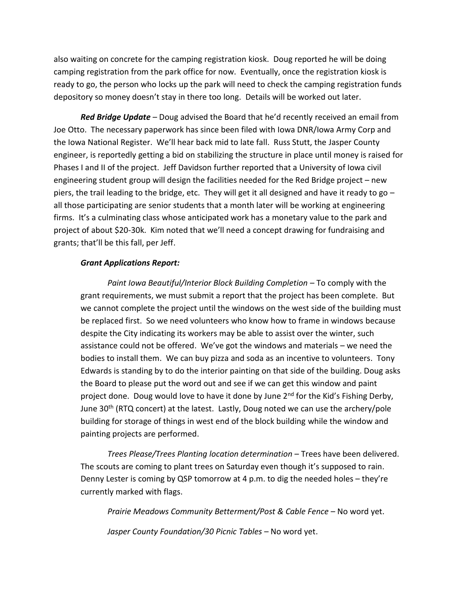also waiting on concrete for the camping registration kiosk. Doug reported he will be doing camping registration from the park office for now. Eventually, once the registration kiosk is ready to go, the person who locks up the park will need to check the camping registration funds depository so money doesn't stay in there too long. Details will be worked out later.

*Red Bridge Update* – Doug advised the Board that he'd recently received an email from Joe Otto. The necessary paperwork has since been filed with Iowa DNR/Iowa Army Corp and the Iowa National Register. We'll hear back mid to late fall. Russ Stutt, the Jasper County engineer, is reportedly getting a bid on stabilizing the structure in place until money is raised for Phases I and II of the project. Jeff Davidson further reported that a University of Iowa civil engineering student group will design the facilities needed for the Red Bridge project – new piers, the trail leading to the bridge, etc. They will get it all designed and have it ready to go – all those participating are senior students that a month later will be working at engineering firms. It's a culminating class whose anticipated work has a monetary value to the park and project of about \$20-30k. Kim noted that we'll need a concept drawing for fundraising and grants; that'll be this fall, per Jeff.

#### *Grant Applications Report:*

*Paint Iowa Beautiful/Interior Block Building Completion* – To comply with the grant requirements, we must submit a report that the project has been complete. But we cannot complete the project until the windows on the west side of the building must be replaced first. So we need volunteers who know how to frame in windows because despite the City indicating its workers may be able to assist over the winter, such assistance could not be offered. We've got the windows and materials – we need the bodies to install them. We can buy pizza and soda as an incentive to volunteers. Tony Edwards is standing by to do the interior painting on that side of the building. Doug asks the Board to please put the word out and see if we can get this window and paint project done. Doug would love to have it done by June 2<sup>nd</sup> for the Kid's Fishing Derby, June 30<sup>th</sup> (RTQ concert) at the latest. Lastly, Doug noted we can use the archery/pole building for storage of things in west end of the block building while the window and painting projects are performed.

*Trees Please/Trees Planting location determination* – Trees have been delivered. The scouts are coming to plant trees on Saturday even though it's supposed to rain. Denny Lester is coming by QSP tomorrow at 4 p.m. to dig the needed holes – they're currently marked with flags.

*Prairie Meadows Community Betterment/Post & Cable Fence* – No word yet.

*Jasper County Foundation/30 Picnic Tables* – No word yet.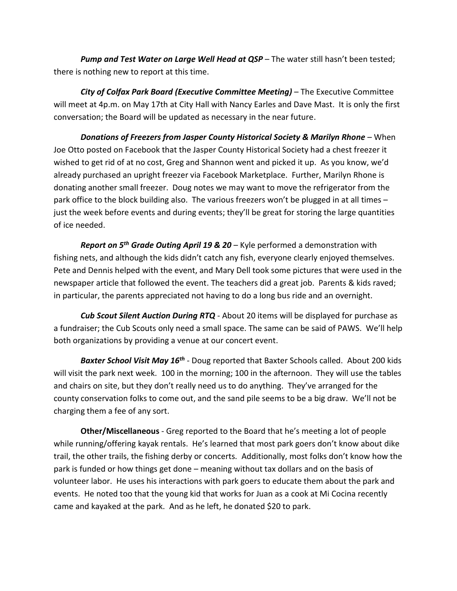*Pump and Test Water on Large Well Head at QSP* – The water still hasn't been tested; there is nothing new to report at this time.

*City of Colfax Park Board (Executive Committee Meeting)* – The Executive Committee will meet at 4p.m. on May 17th at City Hall with Nancy Earles and Dave Mast. It is only the first conversation; the Board will be updated as necessary in the near future.

*Donations of Freezers from Jasper County Historical Society & Marilyn Rhone* – When Joe Otto posted on Facebook that the Jasper County Historical Society had a chest freezer it wished to get rid of at no cost, Greg and Shannon went and picked it up. As you know, we'd already purchased an upright freezer via Facebook Marketplace. Further, Marilyn Rhone is donating another small freezer. Doug notes we may want to move the refrigerator from the park office to the block building also. The various freezers won't be plugged in at all times – just the week before events and during events; they'll be great for storing the large quantities of ice needed.

*Report on 5th Grade Outing April 19 & 20* – Kyle performed a demonstration with fishing nets, and although the kids didn't catch any fish, everyone clearly enjoyed themselves. Pete and Dennis helped with the event, and Mary Dell took some pictures that were used in the newspaper article that followed the event. The teachers did a great job. Parents & kids raved; in particular, the parents appreciated not having to do a long bus ride and an overnight.

*Cub Scout Silent Auction During RTQ* - About 20 items will be displayed for purchase as a fundraiser; the Cub Scouts only need a small space. The same can be said of PAWS. We'll help both organizations by providing a venue at our concert event.

*Baxter School Visit May 16th* - Doug reported that Baxter Schools called. About 200 kids will visit the park next week. 100 in the morning; 100 in the afternoon. They will use the tables and chairs on site, but they don't really need us to do anything. They've arranged for the county conservation folks to come out, and the sand pile seems to be a big draw. We'll not be charging them a fee of any sort.

**Other/Miscellaneous** - Greg reported to the Board that he's meeting a lot of people while running/offering kayak rentals. He's learned that most park goers don't know about dike trail, the other trails, the fishing derby or concerts. Additionally, most folks don't know how the park is funded or how things get done – meaning without tax dollars and on the basis of volunteer labor. He uses his interactions with park goers to educate them about the park and events. He noted too that the young kid that works for Juan as a cook at Mi Cocina recently came and kayaked at the park. And as he left, he donated \$20 to park.